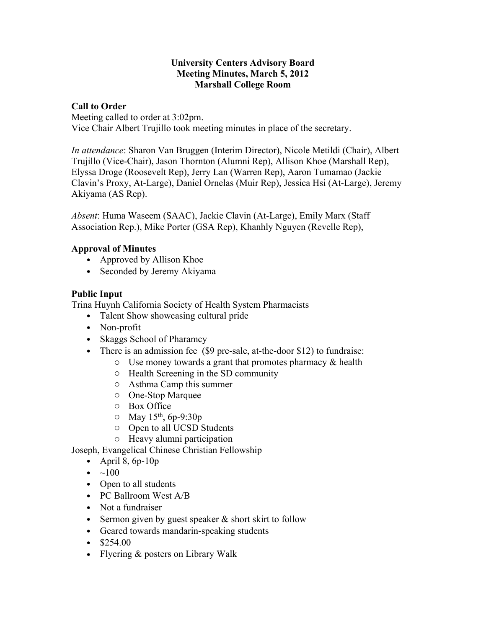#### **University Centers Advisory Board Meeting Minutes, March 5, 2012 Marshall College Room**

## **Call to Order**

Meeting called to order at 3:02pm. Vice Chair Albert Trujillo took meeting minutes in place of the secretary.

*In attendance*: Sharon Van Bruggen (Interim Director), Nicole Metildi (Chair), Albert Trujillo (Vice-Chair), Jason Thornton (Alumni Rep), Allison Khoe (Marshall Rep), Elyssa Droge (Roosevelt Rep), Jerry Lan (Warren Rep), Aaron Tumamao (Jackie Clavin's Proxy, At-Large), Daniel Ornelas (Muir Rep), Jessica Hsi (At-Large), Jeremy Akiyama (AS Rep).

*Absent*: Huma Waseem (SAAC), Jackie Clavin (At-Large), Emily Marx (Staff Association Rep.), Mike Porter (GSA Rep), Khanhly Nguyen (Revelle Rep),

#### **Approval of Minutes**

- Approved by Allison Khoe
- Seconded by Jeremy Akiyama

# **Public Input**

Trina Huynh California Society of Health System Pharmacists

- Talent Show showcasing cultural pride
- Non-profit
- Skaggs School of Pharamcy
- There is an admission fee (\$9 pre-sale, at-the-door \$12) to fundraise:
	- $\circ$  Use money towards a grant that promotes pharmacy & health
	- o Health Screening in the SD community
	- o Asthma Camp this summer
	- o One-Stop Marquee
	- o Box Office
	- $\circ$  May 15<sup>th</sup>, 6p-9:30p
	- o Open to all UCSD Students
	- o Heavy alumni participation

Joseph, Evangelical Chinese Christian Fellowship

- April 8,  $6p-10p$
- $\bullet \quad \sim 100$
- Open to all students
- PC Ballroom West A/B
- Not a fundraiser
- Sermon given by guest speaker & short skirt to follow
- Geared towards mandarin-speaking students
- $$254.00$
- Flyering & posters on Library Walk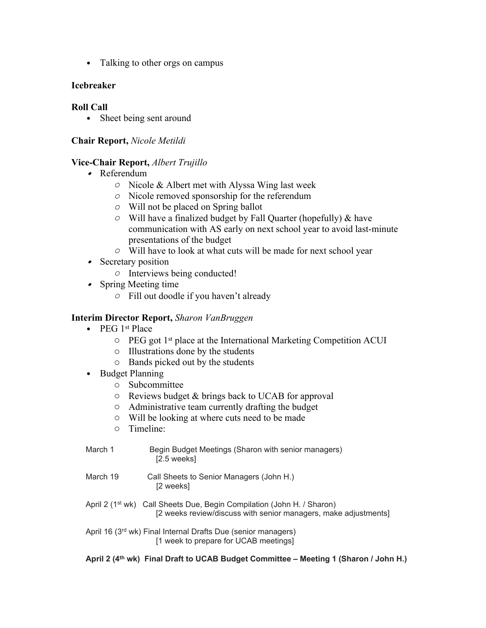• Talking to other orgs on campus

# **Icebreaker**

## **Roll Call**

• Sheet being sent around

## **Chair Report,** *Nicole Metildi*

#### **Vice-Chair Report,** *Albert Trujillo*

- Referendum
	- *o* Nicole & Albert met with Alyssa Wing last week
	- *o* Nicole removed sponsorship for the referendum
	- *o* Will not be placed on Spring ballot
	- *o* Will have a finalized budget by Fall Quarter (hopefully) & have communication with AS early on next school year to avoid last-minute presentations of the budget
	- *o* Will have to look at what cuts will be made for next school year
- Secretary position
	- *o* Interviews being conducted!
- Spring Meeting time
	- *o* Fill out doodle if you haven't already

# **Interim Director Report,** *Sharon VanBruggen*

- PEG 1<sup>st</sup> Place
	- $\circ$  PEG got 1<sup>st</sup> place at the International Marketing Competition ACUI
	- o Illustrations done by the students
	- o Bands picked out by the students
- Budget Planning
	- o Subcommittee
	- o Reviews budget & brings back to UCAB for approval
	- o Administrative team currently drafting the budget
	- o Will be looking at where cuts need to be made
	- o Timeline:
- March 1 **Begin Budget Meetings (Sharon with senior managers)**  [2.5 weeks] March 19 Call Sheets to Senior Managers (John H.)
	- [2 weeks]
- April 2 (1<sup>st</sup> wk) Call Sheets Due, Begin Compilation (John H. / Sharon) [2 weeks review/discuss with senior managers, make adjustments]
- April 16 (3<sup>rd</sup> wk) Final Internal Drafts Due (senior managers) [1 week to prepare for UCAB meetings]

**April 2 (4th wk) Final Draft to UCAB Budget Committee – Meeting 1 (Sharon / John H.)**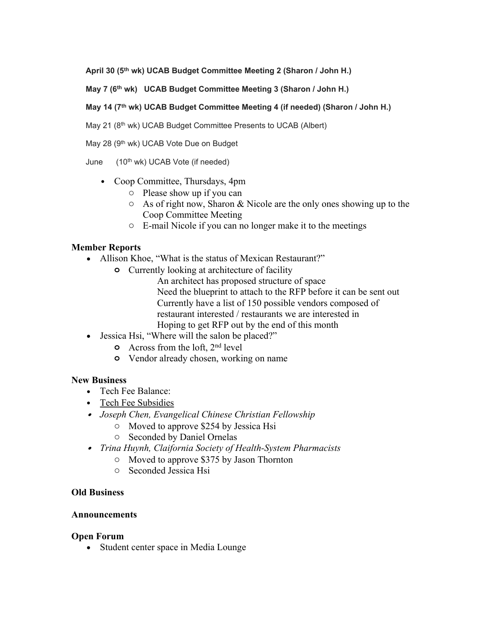**April 30 (5th wk) UCAB Budget Committee Meeting 2 (Sharon / John H.)**

**May 7 (6th wk) UCAB Budget Committee Meeting 3 (Sharon / John H.)**

#### **May 14 (7th wk) UCAB Budget Committee Meeting 4 (if needed) (Sharon / John H.)**

May 21 (8<sup>th</sup> wk) UCAB Budget Committee Presents to UCAB (Albert)

May 28 (9<sup>th</sup> wk) UCAB Vote Due on Budget

June (10th wk) UCAB Vote (if needed)

- Coop Committee, Thursdays, 4pm
	- o Please show up if you can
	- $\circ$  As of right now, Sharon & Nicole are the only ones showing up to the Coop Committee Meeting
	- o E-mail Nicole if you can no longer make it to the meetings

# **Member Reports**

- Allison Khoe, "What is the status of Mexican Restaurant?"
	- **o** Currently looking at architecture of facility
		- An architect has proposed structure of space Need the blueprint to attach to the RFP before it can be sent out Currently have a list of 150 possible vendors composed of restaurant interested / restaurants we are interested in Hoping to get RFP out by the end of this month
- Jessica Hsi, "Where will the salon be placed?"
	- **o** Across from the loft, 2nd level
	- **o** Vendor already chosen, working on name

# **New Business**

- Tech Fee Balance:
- Tech Fee Subsidies
- *Joseph Chen, Evangelical Chinese Christian Fellowship*
	- o Moved to approve \$254 by Jessica Hsi
	- o Seconded by Daniel Ornelas
- *Trina Huynh, Claifornia Society of Health-System Pharmacists*
	- o Moved to approve \$375 by Jason Thornton
	- o Seconded Jessica Hsi

# **Old Business**

#### **Announcements**

#### **Open Forum**

• Student center space in Media Lounge